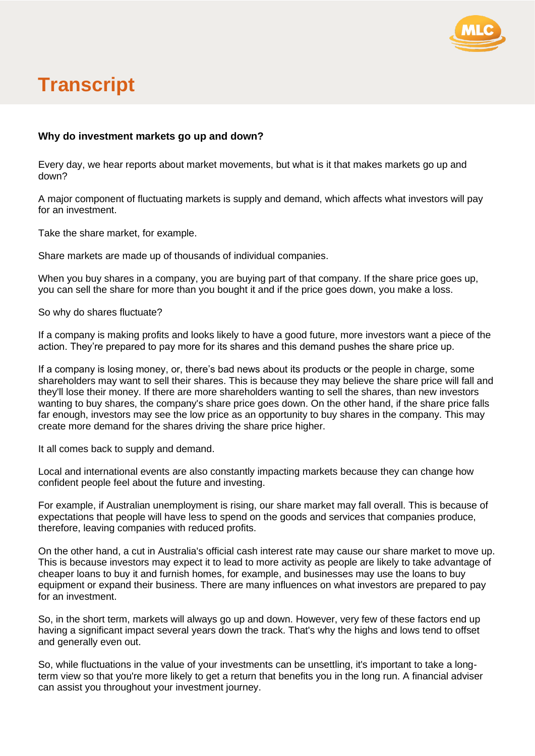

## **Transcript**

## **Why do investment markets go up and down?**

Every day, we hear reports about market movements, but what is it that makes markets go up and down?

A major component of fluctuating markets is supply and demand, which affects what investors will pay for an investment.

Take the share market, for example.

Share markets are made up of thousands of individual companies.

When you buy shares in a company, you are buying part of that company. If the share price goes up, you can sell the share for more than you bought it and if the price goes down, you make a loss.

So why do shares fluctuate?

If a company is making profits and looks likely to have a good future, more investors want a piece of the action. They're prepared to pay more for its shares and this demand pushes the share price up.

If a company is losing money, or, there's bad news about its products or the people in charge, some shareholders may want to sell their shares. This is because they may believe the share price will fall and they'll lose their money. If there are more shareholders wanting to sell the shares, than new investors wanting to buy shares, the company's share price goes down. On the other hand, if the share price falls far enough, investors may see the low price as an opportunity to buy shares in the company. This may create more demand for the shares driving the share price higher.

It all comes back to supply and demand.

Local and international events are also constantly impacting markets because they can change how confident people feel about the future and investing.

For example, if Australian unemployment is rising, our share market may fall overall. This is because of expectations that people will have less to spend on the goods and services that companies produce, therefore, leaving companies with reduced profits.

On the other hand, a cut in Australia's official cash interest rate may cause our share market to move up. This is because investors may expect it to lead to more activity as people are likely to take advantage of cheaper loans to buy it and furnish homes, for example, and businesses may use the loans to buy equipment or expand their business. There are many influences on what investors are prepared to pay for an investment.

So, in the short term, markets will always go up and down. However, very few of these factors end up having a significant impact several years down the track. That's why the highs and lows tend to offset and generally even out.

So, while fluctuations in the value of your investments can be unsettling, it's important to take a longterm view so that you're more likely to get a return that benefits you in the long run. A financial adviser can assist you throughout your investment journey.